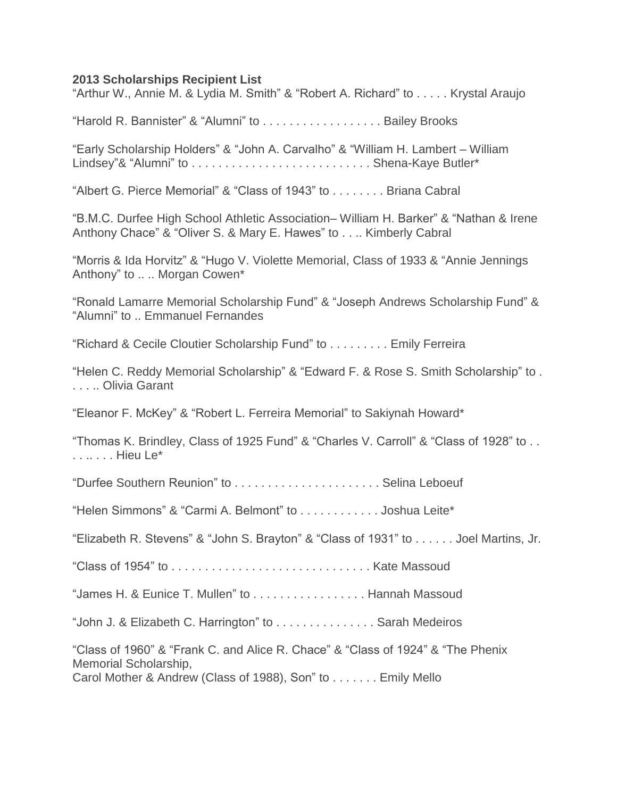## **2013 Scholarships Recipient List**

"Arthur W., Annie M. & Lydia M. Smith" & "Robert A. Richard" to . . . . . Krystal Araujo

"Harold R. Bannister" & "Alumni" to . . . . . . . . . . . . . . . . . . Bailey Brooks

"Early Scholarship Holders" & "John A. Carvalho" & "William H. Lambert – William Lindsey"& "Alumni" to . . . . . . . . . . . . . . . . . . . . . . . . . . . Shena-Kaye Butler\*

"Albert G. Pierce Memorial" & "Class of 1943" to . . . . . . . . Briana Cabral

"B.M.C. Durfee High School Athletic Association– William H. Barker" & "Nathan & Irene Anthony Chace" & "Oliver S. & Mary E. Hawes" to . . .. Kimberly Cabral

"Morris & Ida Horvitz" & "Hugo V. Violette Memorial, Class of 1933 & "Annie Jennings Anthony" to .. .. Morgan Cowen\*

"Ronald Lamarre Memorial Scholarship Fund" & "Joseph Andrews Scholarship Fund" & "Alumni" to .. Emmanuel Fernandes

"Richard & Cecile Cloutier Scholarship Fund" to . . . . . . . . . Emily Ferreira

"Helen C. Reddy Memorial Scholarship" & "Edward F. & Rose S. Smith Scholarship" to . . . . .. Olivia Garant

"Eleanor F. McKey" & "Robert L. Ferreira Memorial" to Sakiynah Howard\*

"Thomas K. Brindley, Class of 1925 Fund" & "Charles V. Carroll" & "Class of 1928" to . . . . .. . . . Hieu Le\*

"Durfee Southern Reunion" to . . . . . . . . . . . . . . . . . . . . . . Selina Leboeuf

"Helen Simmons" & "Carmi A. Belmont" to . . . . . . . . . . . . Joshua Leite\*

"Elizabeth R. Stevens" & "John S. Brayton" & "Class of 1931" to . . . . . . Joel Martins, Jr.

"Class of 1954" to . . . . . . . . . . . . . . . . . . . . . . . . . . . . . . Kate Massoud

"James H. & Eunice T. Mullen" to . . . . . . . . . . . . . . . . . Hannah Massoud

"John J. & Elizabeth C. Harrington" to . . . . . . . . . . . . . . . Sarah Medeiros

"Class of 1960" & "Frank C. and Alice R. Chace" & "Class of 1924" & "The Phenix Memorial Scholarship,

Carol Mother & Andrew (Class of 1988), Son" to . . . . . . . Emily Mello